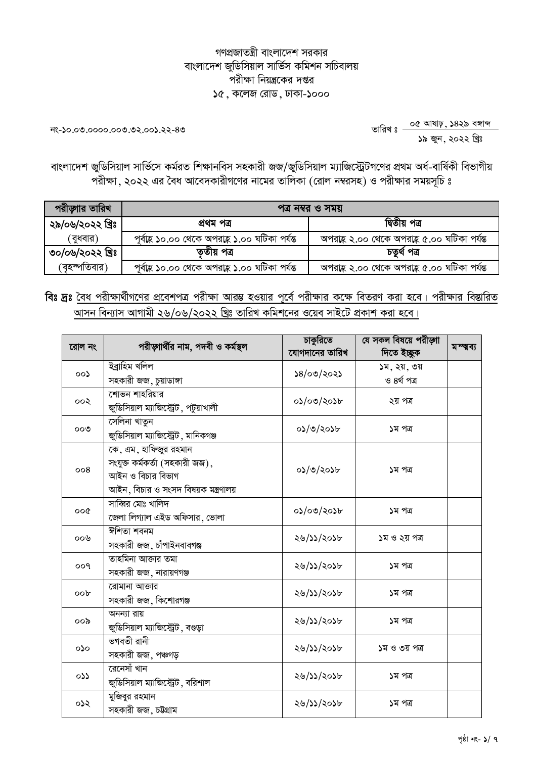## গণপ্রজাতন্ত্রী বাংলাদেশ সরকার বাংলাদেশ জুডিসিয়াল সার্ভিস কমিশন সচিবালয় পরীক্ষা নিয়ন্ত্রকের দপ্তর  $\delta$ ে, কলেজ রোড, ঢাকা-১০০০

তারিখঃ <mark>-- ০৫ আষাঢ়, ১৪২৯ বঙ্গাব্দ</mark><br>-- ১৯ জুন, ২০২২ খ্রিঃ

ত৪-১২.১০০.১০০.০০০.০১.১২-১৯

বাংলাদেশ জুডিসিয়াল সার্ভিসে কর্মরত শিক্ষানবিস সহকারী জজ/জুডিসিয়াল ম্যাজিস্ট্রেটগণের প্রথম অর্ধ-বার্ষিকী বিভাগীয় পরীক্ষা, ২০২২ এর বৈধ আবেদকারীগণের নামের তালিকা (রোল নম্বরসহ) ও পরীক্ষার সময়সূচি ঃ

| পরীড়াার তারিখ   | পত্ৰ নম্বর ও সময়                               |                                              |  |
|------------------|-------------------------------------------------|----------------------------------------------|--|
| ২৯/০৬/২০২২ খ্রিঃ | প্ৰথম পত্ৰ                                      | দ্বিতীয় পত্ৰ                                |  |
| ( বুধবার)        | পূর্বাহ্ন ১০.০০ থেকে অপরাহ্ন ১.০০ ঘটিকা পর্যন্ত | অপরাহ্ন ২.০০ থেকে অপরাহ্ন ৫.০০ ঘটিকা পর্যন্ত |  |
| ৩০/০৬/২০২২ খ্ৰিঃ | তৃতীয় পত্ৰ                                     | চতুৰ্থ পত্ৰ                                  |  |
| (বহস্পতিবার)     | পূর্বাহ্ন ১০.০০ থেকে অপরাহ্ন ১.০০ ঘটিকা পর্যন্ত | অপরাহ্ ২.০০ থেকে অপরাহ্ ৫.০০ ঘটিকা পর্যন্ত   |  |

## বিঃ দ্রঃ <u>বৈধ পরীক্ষার্থীগণের প্রবেশপত্র পরীক্ষা আরম্ভ হওয়ার পূর্বে পরীক্ষার কক্ষে বিতরণ করা হবে। পরীক্ষার বিস্তারিত</u> আসন বিন্যাস আগামী ২৬/০৬/২০২২ খ্রিঃ তারিখ কমিশনের ওয়েব সাইটে প্রকাশ করা হবে।

| রোল নং                           | পরীড়াার্থীর নাম, পদবী ও কর্মস্থল                            | চাকুরিতে<br>যোগদানের তারিখ | যে সকল বিষয়ে পরীড়াা<br>দিতে ইচ্ছুক | মম্ম্বব্য |
|----------------------------------|--------------------------------------------------------------|----------------------------|--------------------------------------|-----------|
| 00 <sub>2</sub>                  | ইব্ৰাহিম খলিল                                                | ১৪/০৩/২০২১                 | ১ম, ২য়, ৩য়                         |           |
|                                  | সহকারী জজ, চুয়াডাঙ্গা                                       |                            | ও ৪র্থ পত্র                          |           |
| 500                              | শোভন শাহরিয়ার                                               | ০১/০৩/২০১৮                 | ২য় পত্ৰ                             |           |
|                                  | জুডিসিয়াল ম্যাজিস্ট্রেট, পটুয়াখালী                         |                            |                                      |           |
| ೲ                                | সেলিনা খাতুন                                                 | ০১/৩/২০১৮                  | ১ম পত্র                              |           |
|                                  | জুডিসিয়াল ম্যাজিস্ট্রেট, মানিকগঞ্জ                          |                            |                                      |           |
|                                  | $\overline{\mathfrak{c}^{\mathfrak{a}}}$ , এম, হাফিজুর রহমান |                            |                                      |           |
| 008                              | সংযুক্ত কৰ্মকৰ্তা (সহকারী জজ),                               | ০১/৩/২০১৮                  | ১ম পত্র                              |           |
|                                  | আইন ও বিচার বিভাগ                                            |                            |                                      |           |
|                                  | আইন, বিচার ও সংসদ বিষয়ক মন্ত্রণালয়                         |                            |                                      |           |
| oo@                              | সাব্বির মোঃ খালিদ                                            | ০১/০৩/২০১৮                 | ১ম পত্র                              |           |
|                                  | জেলা লিগ্যাল এইড অফিসার, ভোলা                                |                            |                                      |           |
| ০০৬                              | ঈশিতা শবনম                                                   | ২৬/১১/২০১৮                 | ১ম ও ২য় পত্র                        |           |
|                                  | সহকারী জজ, চাঁপাইনবাবগঞ্জ                                    |                            |                                      |           |
| Poo                              | তাহমিনা আজার তমা                                             | ২৬/১১/২০১৮                 | ১ম পত্র                              |           |
|                                  | সহকারী জজ, নারায়ণগঞ্জ                                       |                            |                                      |           |
| ००৮                              | রোমানা আক্তার                                                | ২৬/১১/২০১৮                 | ১ম পত্র                              |           |
|                                  | সহকারী জজ, কিশোরগঞ্জ                                         |                            |                                      |           |
| ೦೦ನಿ                             | অনন্যা রায়                                                  | ২৬/১১/২০১৮                 | ১ম পত্র                              |           |
|                                  | জুডিসিয়াল ম্যাজিস্ট্রেট , বগুড়া                            |                            |                                      |           |
| $\mathsf{Q}\mathsf{Q}\mathsf{Q}$ | ভগবতী রানী                                                   | ২৬/১১/২০১৮                 | ১ম ও ৩য় পত্র                        |           |
|                                  | সহকারী জজ, পঞ্চগড়                                           |                            |                                      |           |
| ০১১                              | রেনেসাঁ খান                                                  | ২৬/১১/২০১৮                 | ১ম পত্র                              |           |
|                                  | জুডিসিয়াল ম্যাজিস্ট্রেট, বরিশাল                             |                            |                                      |           |
| ০১২                              | মুজিবুর রহমান                                                | ২৬/১১/২০১৮                 | ১ম পত্র                              |           |
|                                  | সহকারী জজ, চউগ্রাম                                           |                            |                                      |           |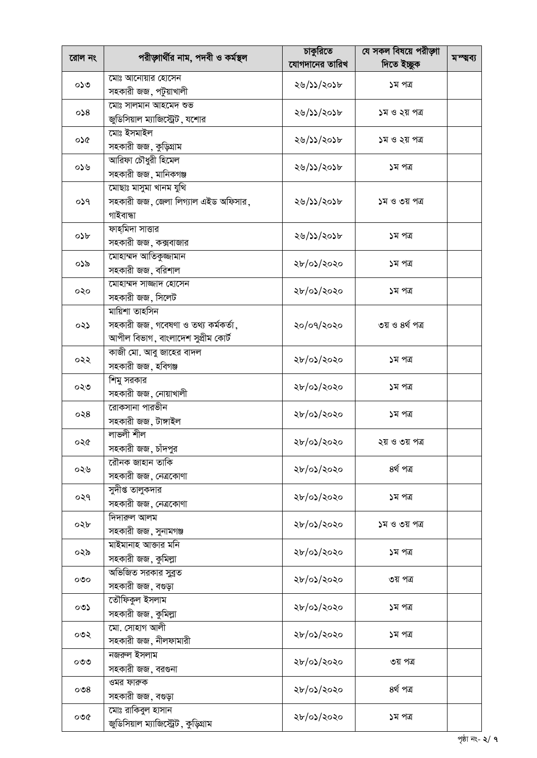|            |                                      | চাকুরিতে       | যে সকল বিষয়ে পরীড়াা                                                                                                                                                                                    |           |
|------------|--------------------------------------|----------------|----------------------------------------------------------------------------------------------------------------------------------------------------------------------------------------------------------|-----------|
| রোল নং     | পরীড়াার্থীর নাম, পদবী ও কর্মস্থল    | যোগদানের তারিখ | দিতে ইচ্ছুক<br>১ম পত্ৰ<br>১ম ও ২য় পত্র<br>১ম ও ২য় পত্র<br>১ম পত্র<br>১ম ও ৩য় পত্র<br>১ম পত্ৰ<br>১ম পত্র<br>১ম পত্র<br>৩য় ও ৪র্থ পত্র<br>১ম পত্ৰ<br>১ম পত্র<br>১ম পত্র<br>২য় ও ৩য় পত্র<br>৪ৰ্থ পত্ৰ | মস্থ্বব্য |
|            | মোঃ আনোয়ার হোসেন                    |                |                                                                                                                                                                                                          |           |
| ০১৩        | সহকারী জজ, পটুয়াখালী                | ২৬/১১/২০১৮     |                                                                                                                                                                                                          |           |
|            | মোঃ সালমান আহমেদ শুভ                 |                |                                                                                                                                                                                                          |           |
| 0.8        | জুডিসিয়াল ম্যাজিস্ট্রেট, যশোর       | ২৬/১১/২০১৮     |                                                                                                                                                                                                          |           |
|            | মোঃ ইসমাইল                           |                |                                                                                                                                                                                                          |           |
| ০১৫        | সহকারী জজ, কুড়িগ্রাম                | ২৬/১১/২০১৮     |                                                                                                                                                                                                          |           |
|            | আরিফা চৌধুরী হিমেল                   |                |                                                                                                                                                                                                          |           |
| ০১৬        | সহকারী জজ, মানিকগঞ্জ                 | ২৬/১১/২০১৮     |                                                                                                                                                                                                          |           |
|            | মোছাঃ মাসুমা খানম যুথি               |                |                                                                                                                                                                                                          |           |
| 059        | সহকারী জজ, জেলা লিগ্যাল এইড অফিসার,  | ২৬/১১/২০১৮     |                                                                                                                                                                                                          |           |
|            | গাইবান্ধা                            |                |                                                                                                                                                                                                          |           |
|            | _<br>ফাহমিদা সাত্তার                 |                |                                                                                                                                                                                                          |           |
| $\circ$ >b | সহকারী জজ, কক্সবাজার                 | ২৬/১১/২০১৮     |                                                                                                                                                                                                          |           |
|            | মোহাম্মদ আতিকুজ্জামান                |                |                                                                                                                                                                                                          |           |
| ০১৯        | সহকারী জজ, বরিশাল                    | ২৮/০১/২০২০     |                                                                                                                                                                                                          |           |
|            | মোহাম্মদ সাজ্জাদ হোসেন               |                |                                                                                                                                                                                                          |           |
| ०२०        | সহকারী জজ, সিলেট                     | ২৮/০১/২০২০     |                                                                                                                                                                                                          |           |
|            | মায়িশা তাহসিন                       |                |                                                                                                                                                                                                          |           |
| ০২১        | সহকারী জজ, গবেষণা ও তথ্য কর্মকর্তা,  | ২০/০৭/২০২০     |                                                                                                                                                                                                          |           |
|            | আপীল বিভাগ, বাংলাদেশ সুপ্রীম কোর্ট   |                |                                                                                                                                                                                                          |           |
|            | কাজী মো. আবু জাহের বাদল              | ২৮/০১/২০২০     |                                                                                                                                                                                                          |           |
| ০২২        | সহকারী জজ, হবিগঞ্জ                   |                |                                                                                                                                                                                                          |           |
|            | শিমু সরকার                           | ২৮/০১/২০২০     |                                                                                                                                                                                                          |           |
| ০২৩        | সহকারী জজ, নোয়াখালী                 |                |                                                                                                                                                                                                          |           |
|            | রোকসানা পারভীন                       |                |                                                                                                                                                                                                          |           |
| $\circ$ २8 | সহকারী জজ, টাঙ্গাইল                  | ২৮/০১/২০২০     |                                                                                                                                                                                                          |           |
|            | লাভলী শীল                            | ২৮/০১/২০২০     |                                                                                                                                                                                                          |           |
| ০২৫        | সহকারী জজ, চাঁদপুর                   |                |                                                                                                                                                                                                          |           |
| ০২৬        | রৌনক জাহান তাকি                      | ২৮/০১/২০২০     |                                                                                                                                                                                                          |           |
|            | সহকারী জজ, নেত্রকোণা                 |                |                                                                                                                                                                                                          |           |
| ०२१        | সুদীপ্ত তালুকদার                     | ২৮/০১/২০২০     | ১ম পত্র                                                                                                                                                                                                  |           |
|            | সহকারী জজ, নেত্রকোণা                 |                |                                                                                                                                                                                                          |           |
| ০২৮        | দিদারুল আলম                          | ২৮/০১/২০২০     | ১ম ও ৩য় পত্র                                                                                                                                                                                            |           |
|            | সহকারী জজ, সুনামগঞ্জ                 |                |                                                                                                                                                                                                          |           |
| ০২৯        | মাইমানাহ আজার মনি                    | ২৮/০১/২০২০     | ১ম পত্র                                                                                                                                                                                                  |           |
|            | সহকারী জজ, কুমিল্লা                  |                |                                                                                                                                                                                                          |           |
| ೲ          | অভিজিত সরকার সুব্রত                  | ২৮/০১/২০২০     | ৩য় পত্ৰ                                                                                                                                                                                                 |           |
|            | সহকারী জজ, বগুড়া                    |                |                                                                                                                                                                                                          |           |
| ০৩১        | তৌফিকুল ইসলাম                        | ২৮/০১/২০২০     | ১ম পত্র                                                                                                                                                                                                  |           |
|            | সহকারী জজ, কুমিল্লা                  |                |                                                                                                                                                                                                          |           |
| ০৩২        | মো. সোহাগ আলী                        | ২৮/০১/২০২০     | ১ম পত্র                                                                                                                                                                                                  |           |
|            | সহকারী জজ, নীলফামারী                 |                |                                                                                                                                                                                                          |           |
| ೦೮೮        | নজরুল ইসলাম                          | ২৮/০১/২০২০     | ৩য় পত্ৰ                                                                                                                                                                                                 |           |
|            | সহকারী জজ, বরগুনা                    |                |                                                                                                                                                                                                          |           |
| $\circ$ ଓ  | ওমর ফারুক                            | ২৮/০১/২০২০     | ৪ৰ্থ পত্ৰ                                                                                                                                                                                                |           |
|            | সহকারী জজ, বগুড়া                    |                |                                                                                                                                                                                                          |           |
| ০৩৫        | মোঃ রাকিবুল হাসান                    | ২৮/০১/২০২০     | ১ম পত্র                                                                                                                                                                                                  |           |
|            | জুডিসিয়াল ম্যাজিস্ট্রেট, কুড়িগ্রাম |                |                                                                                                                                                                                                          |           |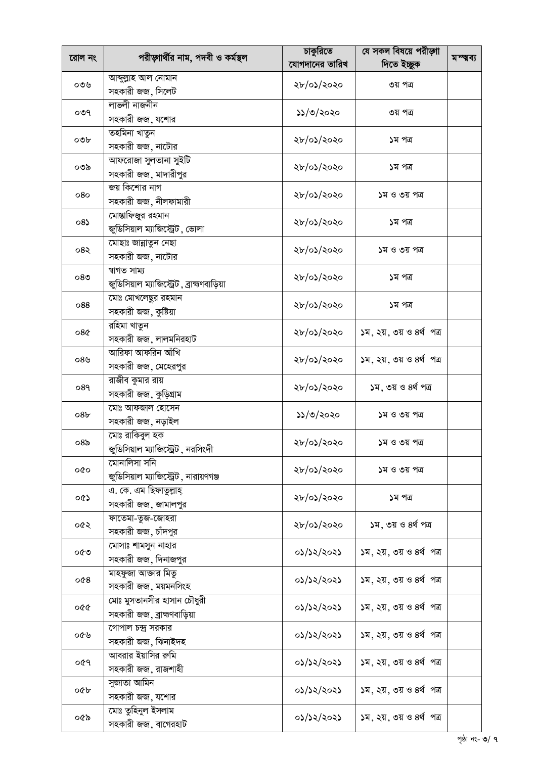|                 |                                             | চাকুরিতে                                                                                                                                                                                                                                                               | যে সকল বিষয়ে পরীড়াা                                                                                                                                                                                                                                                                                                                                                                                                         |           |
|-----------------|---------------------------------------------|------------------------------------------------------------------------------------------------------------------------------------------------------------------------------------------------------------------------------------------------------------------------|-------------------------------------------------------------------------------------------------------------------------------------------------------------------------------------------------------------------------------------------------------------------------------------------------------------------------------------------------------------------------------------------------------------------------------|-----------|
| রোল নং          | পরীড়াার্থীর নাম, পদবী ও কর্মস্থল           | যোগদানের তারিখ                                                                                                                                                                                                                                                         | দিতে ইচ্ছুক                                                                                                                                                                                                                                                                                                                                                                                                                   | মস্থ্বব্য |
|                 | আব্দুল্লাহ আল নোমান                         |                                                                                                                                                                                                                                                                        |                                                                                                                                                                                                                                                                                                                                                                                                                               |           |
| ০৩৬             | সহকারী জজ, সিলেট                            | ২৮/০১/২০২০                                                                                                                                                                                                                                                             |                                                                                                                                                                                                                                                                                                                                                                                                                               |           |
|                 | লাভলী নাজনীন                                |                                                                                                                                                                                                                                                                        |                                                                                                                                                                                                                                                                                                                                                                                                                               |           |
| ०७१             | সহকারী জজ, যশোর                             | ১১/৩/২০২০                                                                                                                                                                                                                                                              | ৩য় পত্ৰ<br>৩য় পত্ৰ<br>১ম পত্র<br>১ম পত্র<br>১ম ও ৩য় পত্র<br>১ম পত্র<br>১ম ও ৩য় পত্র<br>১ম পত্র<br>১ম পত্র<br>১ম, ২য়, ৩য় ও ৪র্থ পত্র<br>১ম, ২য়, ৩য় ও ৪র্থ পত্র<br>১ম, ৩য় ও ৪র্থ পত্র<br>১ম ও ৩য় পত্র<br>১ম ও ৩য় পত্র<br>১ম ও ৩য় পত্র<br>১ম পত্র<br>১ম, ৩য় ও ৪র্থ পত্র<br>১ম, ২য়, ৩য় ও ৪র্থ পত্র<br>১ম, ২য়, ৩য় ও ৪র্থ পত্র<br>১ম, ২য়, ৩য় ও ৪র্থ পত্র<br>১ম, ২য়, ৩য় ও ৪র্থ পত্র<br>১ম, ২য়, ৩য় ও ৪র্থ পত্র |           |
|                 | তহমিনা খাতুন                                |                                                                                                                                                                                                                                                                        |                                                                                                                                                                                                                                                                                                                                                                                                                               |           |
| ০৩৮             | সহকারী জজ, নাটোর                            |                                                                                                                                                                                                                                                                        |                                                                                                                                                                                                                                                                                                                                                                                                                               |           |
|                 | আফরোজা সুলতানা সুইটি                        |                                                                                                                                                                                                                                                                        |                                                                                                                                                                                                                                                                                                                                                                                                                               |           |
| ০৩৯             | সহকারী জজ, মাদারীপুর                        |                                                                                                                                                                                                                                                                        |                                                                                                                                                                                                                                                                                                                                                                                                                               |           |
|                 | জয় কিশোর নাগ                               |                                                                                                                                                                                                                                                                        |                                                                                                                                                                                                                                                                                                                                                                                                                               |           |
| 080             | সহকারী জজ, নীলফামারী                        |                                                                                                                                                                                                                                                                        |                                                                                                                                                                                                                                                                                                                                                                                                                               |           |
|                 | মোস্তাফিজুর রহমান                           |                                                                                                                                                                                                                                                                        |                                                                                                                                                                                                                                                                                                                                                                                                                               |           |
| 08              | জুডিসিয়াল ম্যাজিস্ট্রেট, ভোলা              |                                                                                                                                                                                                                                                                        |                                                                                                                                                                                                                                                                                                                                                                                                                               |           |
|                 | মোছাঃ জান্নাতুন নেছা                        |                                                                                                                                                                                                                                                                        |                                                                                                                                                                                                                                                                                                                                                                                                                               |           |
| 082             | সহকারী জজ, নাটোর                            |                                                                                                                                                                                                                                                                        |                                                                                                                                                                                                                                                                                                                                                                                                                               |           |
|                 | ম্বাগত সাম্য                                |                                                                                                                                                                                                                                                                        |                                                                                                                                                                                                                                                                                                                                                                                                                               |           |
| $08$ ৩          | জুডিসিয়াল ম্যাজিস্ট্রেট , ব্রাহ্মণবাড়িয়া |                                                                                                                                                                                                                                                                        |                                                                                                                                                                                                                                                                                                                                                                                                                               |           |
| 088             | মোঃ মোখলেছুর রহমান                          |                                                                                                                                                                                                                                                                        |                                                                                                                                                                                                                                                                                                                                                                                                                               |           |
|                 | সহকারী জজ, কুষ্টিয়া                        |                                                                                                                                                                                                                                                                        |                                                                                                                                                                                                                                                                                                                                                                                                                               |           |
| 08 <sub>Q</sub> | রহিমা খাতুন                                 | ২৮/০১/২০২০                                                                                                                                                                                                                                                             |                                                                                                                                                                                                                                                                                                                                                                                                                               |           |
|                 | সহকারী জজ, লালমনিরহাট                       |                                                                                                                                                                                                                                                                        |                                                                                                                                                                                                                                                                                                                                                                                                                               |           |
| ০৪৬             | আরিফা আফরিন আঁখি                            |                                                                                                                                                                                                                                                                        |                                                                                                                                                                                                                                                                                                                                                                                                                               |           |
|                 | সহকারী জজ, মেহেরপুর                         |                                                                                                                                                                                                                                                                        |                                                                                                                                                                                                                                                                                                                                                                                                                               |           |
| 089             | রাজীব কুমার রায়                            | ২৮/০১/২০২০                                                                                                                                                                                                                                                             |                                                                                                                                                                                                                                                                                                                                                                                                                               |           |
|                 | সহকারী জজ, কুড়িগ্রাম                       |                                                                                                                                                                                                                                                                        |                                                                                                                                                                                                                                                                                                                                                                                                                               |           |
| 08 <sub>b</sub> | মোঃ আফজাল হোসেন                             | ১১/৩/২০২০                                                                                                                                                                                                                                                              |                                                                                                                                                                                                                                                                                                                                                                                                                               |           |
|                 | সহকারী জজ, নড়াইল                           |                                                                                                                                                                                                                                                                        |                                                                                                                                                                                                                                                                                                                                                                                                                               |           |
| 08 <sub>o</sub> | মোঃ রাকিবুল হক                              |                                                                                                                                                                                                                                                                        |                                                                                                                                                                                                                                                                                                                                                                                                                               |           |
|                 | জুডিসিয়াল ম্যাজিস্ট্রেট, নরসিংদী           |                                                                                                                                                                                                                                                                        |                                                                                                                                                                                                                                                                                                                                                                                                                               |           |
| oĝo             | মোনালিসা সনি                                |                                                                                                                                                                                                                                                                        |                                                                                                                                                                                                                                                                                                                                                                                                                               |           |
|                 | জুডিসিয়াল ম্যাজিস্ট্রেট, নারায়ণগঞ্জ       |                                                                                                                                                                                                                                                                        |                                                                                                                                                                                                                                                                                                                                                                                                                               |           |
| ০৫১             | এ. কে. এম ছিফাতুল্লাহ্                      |                                                                                                                                                                                                                                                                        |                                                                                                                                                                                                                                                                                                                                                                                                                               |           |
|                 | সহকারী জজ, জামালপুর                         |                                                                                                                                                                                                                                                                        |                                                                                                                                                                                                                                                                                                                                                                                                                               |           |
| ০৫২             | ফাতেমা-তুজ-জোহরা                            |                                                                                                                                                                                                                                                                        |                                                                                                                                                                                                                                                                                                                                                                                                                               |           |
|                 | সহকারী জজ, চাঁদপুর                          |                                                                                                                                                                                                                                                                        |                                                                                                                                                                                                                                                                                                                                                                                                                               |           |
| ০৫৩             | মোসাঃ শামসুন নাহার                          |                                                                                                                                                                                                                                                                        |                                                                                                                                                                                                                                                                                                                                                                                                                               |           |
|                 | সহকারী জজ, দিনাজপুর                         |                                                                                                                                                                                                                                                                        |                                                                                                                                                                                                                                                                                                                                                                                                                               |           |
| 008             | মাহফুজা আক্তার মিতু                         |                                                                                                                                                                                                                                                                        |                                                                                                                                                                                                                                                                                                                                                                                                                               |           |
|                 | সহকারী জজ, ময়মনসিংহ                        |                                                                                                                                                                                                                                                                        |                                                                                                                                                                                                                                                                                                                                                                                                                               |           |
| ০৫৫             | মোঃ মুসতানসীর হাসান চৌধুরী                  |                                                                                                                                                                                                                                                                        |                                                                                                                                                                                                                                                                                                                                                                                                                               |           |
|                 | সহকারী জজ, ব্রাহ্মণবাড়িয়া                 |                                                                                                                                                                                                                                                                        |                                                                                                                                                                                                                                                                                                                                                                                                                               |           |
| ০৫৬             | গোপাল চন্দ্র সরকার                          |                                                                                                                                                                                                                                                                        |                                                                                                                                                                                                                                                                                                                                                                                                                               |           |
|                 | সহকারী জজ, ঝিনাইদহ                          |                                                                                                                                                                                                                                                                        |                                                                                                                                                                                                                                                                                                                                                                                                                               |           |
| ०৫৭             | আবরার ইয়াসির রুমি                          |                                                                                                                                                                                                                                                                        |                                                                                                                                                                                                                                                                                                                                                                                                                               |           |
|                 | সহকারী জজ, রাজশাহী                          |                                                                                                                                                                                                                                                                        |                                                                                                                                                                                                                                                                                                                                                                                                                               |           |
| ০৫৮             | সুজাতা আমিন                                 |                                                                                                                                                                                                                                                                        | ১ম, ২য়, ৩য় ও ৪র্থ পত্র                                                                                                                                                                                                                                                                                                                                                                                                      |           |
|                 | সহকারী জজ, যশোর                             | ২৮/০১/২০২০<br>২৮/০১/২০২০<br>২৮/০১/২০২০<br>২৮/০১/২০২০<br>২৮/০১/২০২০<br>২৮/০১/২০২০<br>২৮/০১/২০২০<br>২৮/০১/২০২০<br>২৮/০১/২০২০<br>২৮/০১/২০২০<br>২৮/০১/২০২০<br>২৮/০১/২০২০<br>০১/১২/২০২১<br>০১/১২/২০২১<br>০১/১২/২০২১<br>০১/১২/২০২১<br>০১/১২/২০২১<br>০১/১২/২০২১<br>০১/১২/২০২১ |                                                                                                                                                                                                                                                                                                                                                                                                                               |           |
| ০৫৯             | মোঃ তুহিনুল ইসলাম                           |                                                                                                                                                                                                                                                                        | ১ম, ২য়, ৩য় ও ৪র্থ পত্র                                                                                                                                                                                                                                                                                                                                                                                                      |           |
|                 | সহকারী জজ, বাগেরহাট                         |                                                                                                                                                                                                                                                                        |                                                                                                                                                                                                                                                                                                                                                                                                                               |           |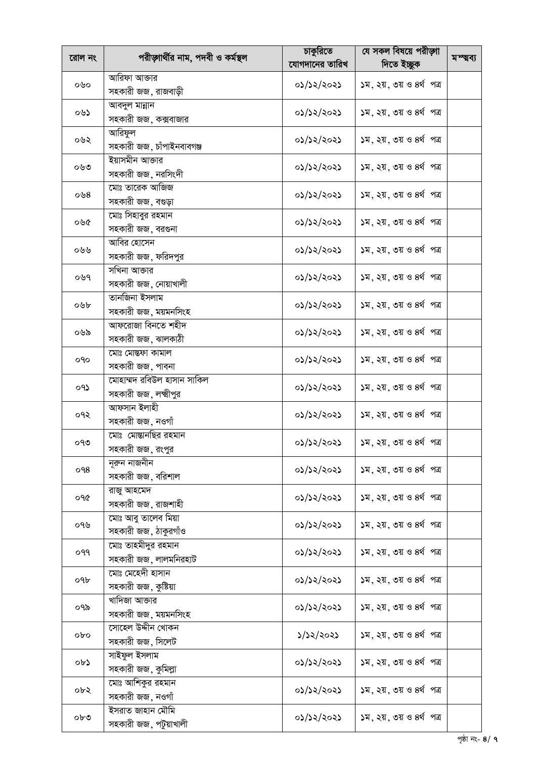|        |                                      | চাকুরিতে                                                                                                                                                                                                                                                                                                                                                                                                                                                                                                                           | যে সকল বিষয়ে পরীড়াা    |           |
|--------|--------------------------------------|------------------------------------------------------------------------------------------------------------------------------------------------------------------------------------------------------------------------------------------------------------------------------------------------------------------------------------------------------------------------------------------------------------------------------------------------------------------------------------------------------------------------------------|--------------------------|-----------|
| রোল নং | পরীড়াার্থীর নাম, পদবী ও কর্মস্থল    | যোগদানের তারিখ                                                                                                                                                                                                                                                                                                                                                                                                                                                                                                                     | দিতে ইচ্ছুক              | মম্ম্বব্য |
|        | আরিফা আক্তার                         |                                                                                                                                                                                                                                                                                                                                                                                                                                                                                                                                    |                          |           |
| ০৬০    | সহকারী জজ, রাজবাড়ী                  | ০১/১২/২০২১                                                                                                                                                                                                                                                                                                                                                                                                                                                                                                                         | ১ম, ২য়, ৩য় ও ৪র্থ পত্র |           |
|        | আবদুল মান্নান                        |                                                                                                                                                                                                                                                                                                                                                                                                                                                                                                                                    |                          |           |
| ০৬১    | সহকারী জজ, কক্সবাজার                 | ०১/১২/২০২১                                                                                                                                                                                                                                                                                                                                                                                                                                                                                                                         | ১ম, ২য়, ৩য় ও ৪র্থ পত্র |           |
|        | আরিফুল                               |                                                                                                                                                                                                                                                                                                                                                                                                                                                                                                                                    |                          |           |
| ০৬২    | সহকারী জজ, চাঁপাইনবাবগঞ্জ            | ০১/১২/২০২১                                                                                                                                                                                                                                                                                                                                                                                                                                                                                                                         | ১ম, ২য়, ৩য় ও ৪র্থ পত্র |           |
|        | ইয়াসমীন আক্তার                      |                                                                                                                                                                                                                                                                                                                                                                                                                                                                                                                                    |                          |           |
| ০৬৩    | সহকারী জজ, নরসিংদী                   |                                                                                                                                                                                                                                                                                                                                                                                                                                                                                                                                    |                          |           |
|        | মোঃ তারেক আজিজ                       |                                                                                                                                                                                                                                                                                                                                                                                                                                                                                                                                    |                          |           |
| ০৬ $8$ | সহকারী জজ, বগুড়া                    |                                                                                                                                                                                                                                                                                                                                                                                                                                                                                                                                    |                          |           |
|        | মোঃ সিহাবুর রহমান                    |                                                                                                                                                                                                                                                                                                                                                                                                                                                                                                                                    |                          |           |
| ০৬৫    | সহকারী জজ, বরগুনা                    |                                                                                                                                                                                                                                                                                                                                                                                                                                                                                                                                    |                          |           |
|        | <u>আবির</u> হোসেন                    |                                                                                                                                                                                                                                                                                                                                                                                                                                                                                                                                    |                          |           |
| ০৬৬    | সহকারী জজ, ফরিদপুর                   |                                                                                                                                                                                                                                                                                                                                                                                                                                                                                                                                    |                          |           |
| ০৬৭    | সখিনা আক্তার                         |                                                                                                                                                                                                                                                                                                                                                                                                                                                                                                                                    |                          |           |
|        | সহকারী জজ, নোয়াখালী                 |                                                                                                                                                                                                                                                                                                                                                                                                                                                                                                                                    |                          |           |
| ০৬৮    | <u>তানজিনা ইসলাম</u>                 |                                                                                                                                                                                                                                                                                                                                                                                                                                                                                                                                    |                          |           |
|        | সহকারী জজ, ময়মনসিংহ                 |                                                                                                                                                                                                                                                                                                                                                                                                                                                                                                                                    |                          |           |
| ০৬৯    | আফরোজা বিনতে শহীদ                    |                                                                                                                                                                                                                                                                                                                                                                                                                                                                                                                                    |                          |           |
|        | সহকারী জজ, ঝালকাঠী                   |                                                                                                                                                                                                                                                                                                                                                                                                                                                                                                                                    |                          |           |
| oqo    | মোঃ মোস্তফা কামাল                    |                                                                                                                                                                                                                                                                                                                                                                                                                                                                                                                                    |                          |           |
|        | সহকারী জজ, পাবনা                     |                                                                                                                                                                                                                                                                                                                                                                                                                                                                                                                                    |                          |           |
| ०१১    | মোহাম্মদ রবিউল হাসান সাকিল           |                                                                                                                                                                                                                                                                                                                                                                                                                                                                                                                                    |                          |           |
|        | সহকারী জজ, লক্ষ্মীপুর                |                                                                                                                                                                                                                                                                                                                                                                                                                                                                                                                                    |                          |           |
| ०१२    | আফসান ইলাহী                          |                                                                                                                                                                                                                                                                                                                                                                                                                                                                                                                                    |                          |           |
|        | সহকারী জজ, নওগাঁ                     |                                                                                                                                                                                                                                                                                                                                                                                                                                                                                                                                    |                          |           |
| ০৭৩    | মোঃ মোম্ভানছির রহমান                 | ০১/১২/২০২১                                                                                                                                                                                                                                                                                                                                                                                                                                                                                                                         | ১ম, ২য়, ৩য় ও ৪র্থ পত্র |           |
|        | সহকারী জজ, রংপুর                     |                                                                                                                                                                                                                                                                                                                                                                                                                                                                                                                                    |                          |           |
| o98    | নুরুন নাজনীন                         |                                                                                                                                                                                                                                                                                                                                                                                                                                                                                                                                    | ১ম, ২য়, ৩য় ও ৪র্থ পত্র |           |
|        | সহকারী জজ, বরিশাল                    |                                                                                                                                                                                                                                                                                                                                                                                                                                                                                                                                    |                          |           |
| ०१৫    | রাজু আহমেদ                           |                                                                                                                                                                                                                                                                                                                                                                                                                                                                                                                                    |                          |           |
|        | সহকারী জজ, রাজশাহী                   |                                                                                                                                                                                                                                                                                                                                                                                                                                                                                                                                    |                          |           |
| ০৭৬    | মোঃ আবু তালেব মিয়া                  |                                                                                                                                                                                                                                                                                                                                                                                                                                                                                                                                    | ১ম, ২য়, ৩য় ও ৪র্থ পত্র |           |
|        | সহকারী জজ, ঠাকুরগাঁও                 |                                                                                                                                                                                                                                                                                                                                                                                                                                                                                                                                    |                          |           |
| ०११    | মোঃ তাহমীদুর রহমান                   |                                                                                                                                                                                                                                                                                                                                                                                                                                                                                                                                    | ১ম, ২য়, ৩য় ও ৪র্থ পত্র |           |
|        | সহকারী জজ, লালমনিরহাট                |                                                                                                                                                                                                                                                                                                                                                                                                                                                                                                                                    |                          |           |
| ০৭৮    | মোঃ মেহেদী হাসান                     | ০১/১২/২০২১                                                                                                                                                                                                                                                                                                                                                                                                                                                                                                                         | ১ম, ২য়, ৩য় ও ৪র্থ পত্র |           |
|        | সহকারী জজ, কুষ্টিয়া                 |                                                                                                                                                                                                                                                                                                                                                                                                                                                                                                                                    |                          |           |
| ০৭৯    | খাদিজা আক্তার                        | ০১/১২/২০২১                                                                                                                                                                                                                                                                                                                                                                                                                                                                                                                         | ১ম, ২য়, ৩য় ও ৪র্থ পত্র |           |
|        | সহকারী জজ, ময়মনসিংহ                 |                                                                                                                                                                                                                                                                                                                                                                                                                                                                                                                                    |                          |           |
| obo    | সোহেল উদ্দীন খোকন                    | 5/52/2025                                                                                                                                                                                                                                                                                                                                                                                                                                                                                                                          | ১ম, ২য়, ৩য় ও ৪র্থ পত্র |           |
|        | সহকারী জজ, সিলেট                     |                                                                                                                                                                                                                                                                                                                                                                                                                                                                                                                                    |                          |           |
| ob3    | সাইফুল ইসলাম                         | ०১/১২/২০২১                                                                                                                                                                                                                                                                                                                                                                                                                                                                                                                         | ১ম, ২য়, ৩য় ও ৪র্থ পত্র |           |
|        | সহকারী জজ, কুমিল্লা                  |                                                                                                                                                                                                                                                                                                                                                                                                                                                                                                                                    |                          |           |
| ০৮২    | মোঃ আশিকুর রহমান                     | ०১/১২/২০২১                                                                                                                                                                                                                                                                                                                                                                                                                                                                                                                         | ১ম, ২য়, ৩য় ও ৪র্থ পত্র |           |
|        | সহকারী জজ, নওগাঁ<br>ইসরাত জাহান মৌমি | ১ম, ২য়, ৩য় ও ৪র্থ পত্র<br>০১/১২/২০২১<br>১ম, ২য়, ৩য় ও ৪র্থ পত্র<br>০১/১২/২০২১<br>১ম, ২য়, ৩য় ও ৪র্থ পত্র<br>০১/১২/২০২১<br>১ম, ২য়, ৩য় ও ৪র্থ পত্র<br>०১/১২/২০২১<br>১ম, ২য়, ৩য় ও ৪র্থ পত্র<br>০১/১২/২০২১<br>১ম, ২য়, ৩য় ও ৪র্থ পত্র<br>০১/১২/২০২১<br>১ম, ২য়, ৩য় ও ৪র্থ পত্র<br>০১/১২/২০২১<br>১ম, ২য়, ৩য় ও ৪র্থ পত্র<br>०১/১২/২০২১<br>১ম, ২য়, ৩য় ও ৪র্থ পত্র<br>০১/১২/২০২১<br>১ম, ২য়, ৩য় ও ৪র্থ পত্র<br>০১/১২/২০২১<br>০১/১২/২০২১<br>১ম, ২য়, ৩য় ও ৪র্থ পত্র<br>০১/১২/২০২১<br>০১/১২/২০২১<br>০১/১২/২০২১<br>०১/১২/২০২১ |                          |           |
| ০৮৩    | সহকারী জজ, পটুয়াখালী                |                                                                                                                                                                                                                                                                                                                                                                                                                                                                                                                                    | ১ম, ২য়, ৩য় ও ৪র্থ পত্র |           |
|        |                                      |                                                                                                                                                                                                                                                                                                                                                                                                                                                                                                                                    |                          |           |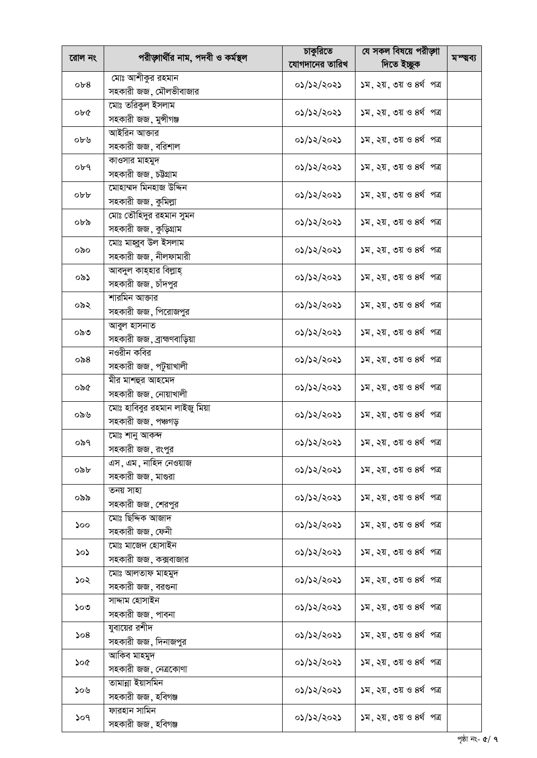|        |                                   | চাকুরিতে       | যে সকল বিষয়ে পরীড়াা                                                                                                                                                                                                                                                                                                                                                                                                                                                                                                                                                                                                                                                                        |           |
|--------|-----------------------------------|----------------|----------------------------------------------------------------------------------------------------------------------------------------------------------------------------------------------------------------------------------------------------------------------------------------------------------------------------------------------------------------------------------------------------------------------------------------------------------------------------------------------------------------------------------------------------------------------------------------------------------------------------------------------------------------------------------------------|-----------|
| রোল নং | পরীড়াার্থীর নাম, পদবী ও কর্মস্থল | যোগদানের তারিখ | দিতে ইচ্ছুক                                                                                                                                                                                                                                                                                                                                                                                                                                                                                                                                                                                                                                                                                  | মস্থ্বব্য |
|        | মোঃ আশীকুর রহমান                  |                |                                                                                                                                                                                                                                                                                                                                                                                                                                                                                                                                                                                                                                                                                              |           |
| ob8    | সহকারী জজ, মৌলভীবাজার             | ०১/১২/২০২১     | ১ম, ২য়, ৩য় ও ৪র্থ পত্র<br>১ম, ২য়, ৩য় ও ৪র্থ পত্র<br>১ম, ২য়, ৩য় ও ৪র্থ পত্র<br>১ম, ২য়, ৩য় ও ৪র্থ পত্র<br>১ম, ২য়, ৩য় ও ৪র্থ পত্র<br>১ম, ২য়, ৩য় ও ৪র্থ পত্র<br>১ম, ২য়, ৩য় ও ৪র্থ পত্র<br>১ম, ২য়, ৩য় ও ৪র্থ পত্র<br>১ম, ২য়, ৩য় ও ৪র্থ পত্র<br>১ম, ২য়, ৩য় ও ৪র্থ পত্র<br>১ম, ২য়, ৩য় ও ৪র্থ পত্র<br>১ম, ২য়, ৩য় ও ৪র্থ পত্র<br>১ম, ২য়, ৩য় ও ৪র্থ পত্র<br>১ম, ২য়, ৩য় ও ৪র্থ পত্র<br>১ম, ২য়, ৩য় ও ৪র্থ পত্র<br>১ম, ২য়, ৩য় ও ৪র্থ পত্র<br>১ম. ২য়. ৩য় ও ৪র্থ পত্র<br>১ম, ২য়, ৩য় ও ৪র্থ পত্র<br>১ম, ২য়, ৩য় ও ৪র্থ পত্র<br>১ম, ২য়, ৩য় ও ৪র্থ পত্র<br>১ম, ২য়, ৩য় ও ৪র্থ পত্র<br>১ম, ২য়, ৩য় ও ৪র্থ পত্র<br>১ম, ২য়, ৩য় ও ৪র্থ পত্র<br>১ম, ২য়, ৩য় ও ৪র্থ পত্র |           |
|        | মোঃ তরিকুল ইসলাম                  |                |                                                                                                                                                                                                                                                                                                                                                                                                                                                                                                                                                                                                                                                                                              |           |
| ob@    | সহকারী জজ, মুন্সীগঞ্জ             | ০১/১২/২০২১     |                                                                                                                                                                                                                                                                                                                                                                                                                                                                                                                                                                                                                                                                                              |           |
|        | <u>আইরিন আক্তার</u>               |                |                                                                                                                                                                                                                                                                                                                                                                                                                                                                                                                                                                                                                                                                                              |           |
| ০৮৬    | সহকারী জজ, বরিশাল                 | ০১/১২/২০২১     |                                                                                                                                                                                                                                                                                                                                                                                                                                                                                                                                                                                                                                                                                              |           |
|        | কাওসার মাহমুদ                     |                |                                                                                                                                                                                                                                                                                                                                                                                                                                                                                                                                                                                                                                                                                              |           |
| ०৮৭    | সহকারী জজ, চউগ্রাম                | ০১/১২/২০২১     |                                                                                                                                                                                                                                                                                                                                                                                                                                                                                                                                                                                                                                                                                              |           |
|        | মোহাম্মদ মিনহাজ উদ্দিন            |                |                                                                                                                                                                                                                                                                                                                                                                                                                                                                                                                                                                                                                                                                                              |           |
| obb    | সহকারী জজ, কুমিল্লা               | ০১/১২/২০২১     |                                                                                                                                                                                                                                                                                                                                                                                                                                                                                                                                                                                                                                                                                              |           |
| ০৮৯    | মোঃ তৌহিদুর রহমান সুমন            |                |                                                                                                                                                                                                                                                                                                                                                                                                                                                                                                                                                                                                                                                                                              |           |
|        | সহকারী জজ, কুড়িগ্রাম             | ০১/১২/২০২১     |                                                                                                                                                                                                                                                                                                                                                                                                                                                                                                                                                                                                                                                                                              |           |
| ০৯০    | মোঃ মাহ্নুব উল ইসলাম              | ০১/১২/২০২১     |                                                                                                                                                                                                                                                                                                                                                                                                                                                                                                                                                                                                                                                                                              |           |
|        | সহকারী জজ, নীলফামারী              |                |                                                                                                                                                                                                                                                                                                                                                                                                                                                                                                                                                                                                                                                                                              |           |
| ০৯১    | আবদুল কাহহার বিল্লাহ              | ০১/১২/২০২১     |                                                                                                                                                                                                                                                                                                                                                                                                                                                                                                                                                                                                                                                                                              |           |
|        | সহকারী জজ, চাঁদপুর                |                |                                                                                                                                                                                                                                                                                                                                                                                                                                                                                                                                                                                                                                                                                              |           |
| ০৯২    | শারমিন আক্তার                     | ০১/১২/২০২১     |                                                                                                                                                                                                                                                                                                                                                                                                                                                                                                                                                                                                                                                                                              |           |
|        | সহকারী জজ, পিরোজপুর               |                |                                                                                                                                                                                                                                                                                                                                                                                                                                                                                                                                                                                                                                                                                              |           |
| ০৯৩    | আবুল হাসনাত                       | ০১/১২/২০২১     |                                                                                                                                                                                                                                                                                                                                                                                                                                                                                                                                                                                                                                                                                              |           |
|        | সহকারী জজ, ব্রাহ্মণবাড়িয়া       |                |                                                                                                                                                                                                                                                                                                                                                                                                                                                                                                                                                                                                                                                                                              |           |
| ০৯ $8$ | নওরীন কবির                        | ०১/১২/২০২১     |                                                                                                                                                                                                                                                                                                                                                                                                                                                                                                                                                                                                                                                                                              |           |
|        | সহকারী জজ, পটুয়াখালী             |                |                                                                                                                                                                                                                                                                                                                                                                                                                                                                                                                                                                                                                                                                                              |           |
| ০৯৫    | মীর মাশহুর আহমেদ                  | ০১/১২/২০২১     |                                                                                                                                                                                                                                                                                                                                                                                                                                                                                                                                                                                                                                                                                              |           |
|        | সহকারী জজ, নোয়াখালী              |                |                                                                                                                                                                                                                                                                                                                                                                                                                                                                                                                                                                                                                                                                                              |           |
| ০৯৬    | মোঃ হাবিবুর রহমান লাইজু মিয়া     | ০১/১২/২০২১     |                                                                                                                                                                                                                                                                                                                                                                                                                                                                                                                                                                                                                                                                                              |           |
|        | সহকারী জজ, পঞ্চগড়                |                |                                                                                                                                                                                                                                                                                                                                                                                                                                                                                                                                                                                                                                                                                              |           |
| ০৯৭    | মোঃ শানু আকন্দ                    | ০১/১২/২০২১     |                                                                                                                                                                                                                                                                                                                                                                                                                                                                                                                                                                                                                                                                                              |           |
|        | সহকারী জজ, রংপুর                  |                |                                                                                                                                                                                                                                                                                                                                                                                                                                                                                                                                                                                                                                                                                              |           |
| ০৯৮    | এস, এম, নাহিদ নেওয়াজ             | ০১/১২/২০২১     |                                                                                                                                                                                                                                                                                                                                                                                                                                                                                                                                                                                                                                                                                              |           |
|        | সহকারী জজ, মাগুরা<br>তনয় সাহা    |                |                                                                                                                                                                                                                                                                                                                                                                                                                                                                                                                                                                                                                                                                                              |           |
| ০৯৯    | সহকারী জজ, শেরপুর                 | ০১/১২/২০২১     |                                                                                                                                                                                                                                                                                                                                                                                                                                                                                                                                                                                                                                                                                              |           |
|        | মোঃ ছিদ্দিক আজাদ                  |                |                                                                                                                                                                                                                                                                                                                                                                                                                                                                                                                                                                                                                                                                                              |           |
| ১০০    | সহকারী জজ, ফেনী                   | ০১/১২/২০২১     |                                                                                                                                                                                                                                                                                                                                                                                                                                                                                                                                                                                                                                                                                              |           |
|        | মোঃ মাজেদ হোসাইন                  |                |                                                                                                                                                                                                                                                                                                                                                                                                                                                                                                                                                                                                                                                                                              |           |
| ১০১    | সহকারী জজ, কক্সবাজার              | ০১/১২/২০২১     |                                                                                                                                                                                                                                                                                                                                                                                                                                                                                                                                                                                                                                                                                              |           |
|        | মোঃ আলতাফ মাহমুদ                  |                |                                                                                                                                                                                                                                                                                                                                                                                                                                                                                                                                                                                                                                                                                              |           |
| ১০২    | সহকারী জজ, বরগুনা                 | ০১/১২/২০২১     |                                                                                                                                                                                                                                                                                                                                                                                                                                                                                                                                                                                                                                                                                              |           |
|        | সাদ্দাম হোসাইন                    |                |                                                                                                                                                                                                                                                                                                                                                                                                                                                                                                                                                                                                                                                                                              |           |
| ১০৩    | সহকারী জজ, পাবনা                  | ০১/১২/২০২১     |                                                                                                                                                                                                                                                                                                                                                                                                                                                                                                                                                                                                                                                                                              |           |
|        | যুবায়ের রশীদ                     |                |                                                                                                                                                                                                                                                                                                                                                                                                                                                                                                                                                                                                                                                                                              |           |
| 508    | সহকারী জজ, দিনাজপুর               | ०১/১২/২০২১     |                                                                                                                                                                                                                                                                                                                                                                                                                                                                                                                                                                                                                                                                                              |           |
|        | আকিব মাহমুদ                       |                |                                                                                                                                                                                                                                                                                                                                                                                                                                                                                                                                                                                                                                                                                              |           |
| ১০৫    | সহকারী জজ, নেত্রকোণা              | ০১/১২/২০২১     |                                                                                                                                                                                                                                                                                                                                                                                                                                                                                                                                                                                                                                                                                              |           |
|        | তামান্না ইয়াসমিন                 |                |                                                                                                                                                                                                                                                                                                                                                                                                                                                                                                                                                                                                                                                                                              |           |
| ১০৬    | সহকারী জজ, হবিগঞ্জ                | ০১/১২/২০২১     |                                                                                                                                                                                                                                                                                                                                                                                                                                                                                                                                                                                                                                                                                              |           |
|        | ফারহান সামিন                      |                |                                                                                                                                                                                                                                                                                                                                                                                                                                                                                                                                                                                                                                                                                              |           |
| ১০৭    | সহকারী জজ, হবিগঞ্জ                | ০১/১২/২০২১     |                                                                                                                                                                                                                                                                                                                                                                                                                                                                                                                                                                                                                                                                                              |           |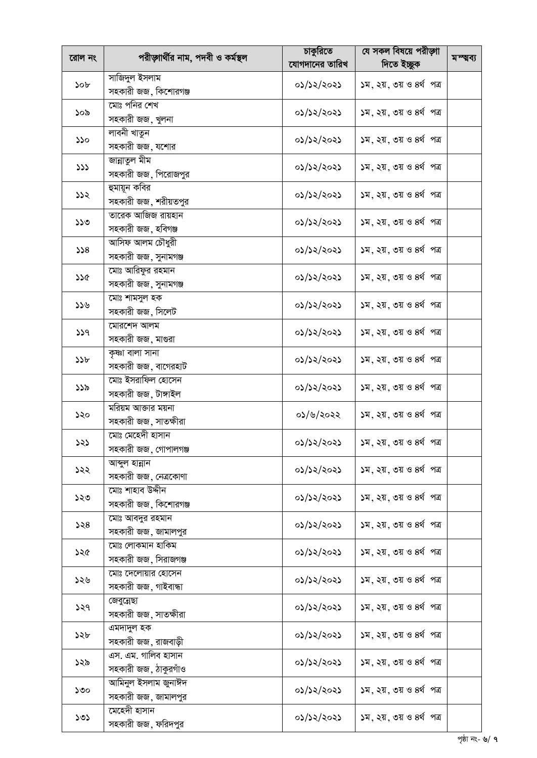|                 |                                   | চাকুরিতে       | যে সকল বিষয়ে পরীড়াা                                                                                                                                                                                                                                                                                                                                                                                                                                                                                                                                                                                                                                                                        |           |
|-----------------|-----------------------------------|----------------|----------------------------------------------------------------------------------------------------------------------------------------------------------------------------------------------------------------------------------------------------------------------------------------------------------------------------------------------------------------------------------------------------------------------------------------------------------------------------------------------------------------------------------------------------------------------------------------------------------------------------------------------------------------------------------------------|-----------|
| রোল নং          | পরীড়াার্থীর নাম, পদবী ও কর্মস্থল | যোগদানের তারিখ | দিতে ইচ্ছুক                                                                                                                                                                                                                                                                                                                                                                                                                                                                                                                                                                                                                                                                                  | মম্ম্বব্য |
|                 | সাজিদুল ইসলাম                     |                |                                                                                                                                                                                                                                                                                                                                                                                                                                                                                                                                                                                                                                                                                              |           |
| 50 <sub>b</sub> | সহকারী জজ, কিশোরগঞ্জ              | ০১/১২/২০২১     | ১ম, ২য়, ৩য় ও ৪র্থ পত্র<br>১ম, ২য়, ৩য় ও ৪র্থ পত্র<br>১ম, ২য়, ৩য় ও ৪র্থ পত্র<br>১ম, ২য়, ৩য় ও ৪র্থ পত্র<br>১ম, ২য়, ৩য় ও ৪র্থ পত্র<br>১ম, ২য়, ৩য় ও ৪র্থ পত্র<br>১ম, ২য়, ৩য় ও ৪র্থ পত্র<br>১ম, ২য়, ৩য় ও ৪র্থ পত্র<br>১ম, ২য়, ৩য় ও ৪র্থ পত্র<br>১ম, ২য়, ৩য় ও ৪র্থ পত্র<br>১ম, ২য়, ৩য় ও ৪র্থ পত্র<br>১ম, ২য়, ৩য় ও ৪র্থ পত্র<br>১ম, ২য়, ৩য় ও ৪র্থ পত্র<br>১ম, ২য়, ৩য় ও ৪র্থ পত্র<br>১ম, ২য়, ৩য় ও ৪র্থ পত্র<br>১ম, ২য়, ৩য় ও ৪র্থ পত্র<br>১ম. ২য়. ৩য় ও ৪র্থ পত্র<br>১ম, ২য়, ৩য় ও ৪র্থ পত্র<br>১ম, ২য়, ৩য় ও ৪র্থ পত্র<br>১ম, ২য়, ৩য় ও ৪র্থ পত্র<br>১ম, ২য়, ৩য় ও ৪র্থ পত্র<br>১ম, ২য়, ৩য় ও ৪র্থ পত্র<br>১ম, ২য়, ৩য় ও ৪র্থ পত্র<br>১ম, ২য়, ৩য় ও ৪র্থ পত্র |           |
|                 | মোঃ পনির শেখ                      |                |                                                                                                                                                                                                                                                                                                                                                                                                                                                                                                                                                                                                                                                                                              |           |
| ১০৯             | সহকারী জজ, খুলনা                  | ०১/১২/২০২১     |                                                                                                                                                                                                                                                                                                                                                                                                                                                                                                                                                                                                                                                                                              |           |
|                 | লাবনী খাতুন                       |                |                                                                                                                                                                                                                                                                                                                                                                                                                                                                                                                                                                                                                                                                                              |           |
| ১১০             | সহকারী জজ, যশোর                   | ০১/১২/২০২১     |                                                                                                                                                                                                                                                                                                                                                                                                                                                                                                                                                                                                                                                                                              |           |
|                 | জান্নাতুল মীম                     |                |                                                                                                                                                                                                                                                                                                                                                                                                                                                                                                                                                                                                                                                                                              |           |
| 333             |                                   | ০১/১২/২০২১     |                                                                                                                                                                                                                                                                                                                                                                                                                                                                                                                                                                                                                                                                                              |           |
|                 | সহকারী জজ, পিরোজপুর               |                |                                                                                                                                                                                                                                                                                                                                                                                                                                                                                                                                                                                                                                                                                              |           |
| 522             | হুমায়ূন কবির                     | ০১/১২/২০২১     |                                                                                                                                                                                                                                                                                                                                                                                                                                                                                                                                                                                                                                                                                              |           |
|                 | সহকারী জজ, শরীয়তপুর              |                |                                                                                                                                                                                                                                                                                                                                                                                                                                                                                                                                                                                                                                                                                              |           |
| 550             | তারেক আজিজ রায়হান                | ০১/১২/২০২১     |                                                                                                                                                                                                                                                                                                                                                                                                                                                                                                                                                                                                                                                                                              |           |
|                 | সহকারী জজ, হবিগঞ্জ                |                |                                                                                                                                                                                                                                                                                                                                                                                                                                                                                                                                                                                                                                                                                              |           |
| 328             | আসিফ আলম চৌধুরী                   | ०১/১২/২০২১     |                                                                                                                                                                                                                                                                                                                                                                                                                                                                                                                                                                                                                                                                                              |           |
|                 | সহকারী জজ, সুনামগঞ্জ              |                |                                                                                                                                                                                                                                                                                                                                                                                                                                                                                                                                                                                                                                                                                              |           |
| ১১৫             | মোঃ আরিফুর রহমান                  | ০১/১২/২০২১     |                                                                                                                                                                                                                                                                                                                                                                                                                                                                                                                                                                                                                                                                                              |           |
|                 | সহকারী জজ, সুনামগঞ্জ              |                |                                                                                                                                                                                                                                                                                                                                                                                                                                                                                                                                                                                                                                                                                              |           |
| ১১৬             | মোঃ শামসুল হক                     | ০১/১২/২০২১     |                                                                                                                                                                                                                                                                                                                                                                                                                                                                                                                                                                                                                                                                                              |           |
|                 | সহকারী জজ, সিলেট                  |                |                                                                                                                                                                                                                                                                                                                                                                                                                                                                                                                                                                                                                                                                                              |           |
|                 | মোরশেদ আলম                        |                |                                                                                                                                                                                                                                                                                                                                                                                                                                                                                                                                                                                                                                                                                              |           |
| 339             | সহকারী জজ, মাগুরা                 | ০১/১২/২০২১     |                                                                                                                                                                                                                                                                                                                                                                                                                                                                                                                                                                                                                                                                                              |           |
|                 | কৃষ্ণা বালা সানা                  |                |                                                                                                                                                                                                                                                                                                                                                                                                                                                                                                                                                                                                                                                                                              |           |
| 35b             | সহকারী জজ, বাগেরহাট               | ०১/১২/২০২১     |                                                                                                                                                                                                                                                                                                                                                                                                                                                                                                                                                                                                                                                                                              |           |
|                 | মোঃ ইসরাফিল হোসেন                 |                |                                                                                                                                                                                                                                                                                                                                                                                                                                                                                                                                                                                                                                                                                              |           |
| ১১৯             | সহকারী জজ, টাঙ্গাইল               | ০১/১২/২০২১     |                                                                                                                                                                                                                                                                                                                                                                                                                                                                                                                                                                                                                                                                                              |           |
|                 | মরিয়ম আক্তার ময়না               | ০১/৬/২০২২      |                                                                                                                                                                                                                                                                                                                                                                                                                                                                                                                                                                                                                                                                                              |           |
| ১২০             | সহকারী জজ, সাতক্ষীরা              |                |                                                                                                                                                                                                                                                                                                                                                                                                                                                                                                                                                                                                                                                                                              |           |
|                 | মোঃ মেহেদী হাসান                  | ০১/১২/২০২১     |                                                                                                                                                                                                                                                                                                                                                                                                                                                                                                                                                                                                                                                                                              |           |
| ১২১             | সহকারী জজ, গোপালগঞ্জ              |                |                                                                                                                                                                                                                                                                                                                                                                                                                                                                                                                                                                                                                                                                                              |           |
|                 | আব্দুল হান্নান                    |                |                                                                                                                                                                                                                                                                                                                                                                                                                                                                                                                                                                                                                                                                                              |           |
| ১২২             | সহকারী জজ, নেত্রকোণা              | ০১/১২/২০২১     |                                                                                                                                                                                                                                                                                                                                                                                                                                                                                                                                                                                                                                                                                              |           |
|                 | মোঃ শাহাব উদ্দীন                  |                |                                                                                                                                                                                                                                                                                                                                                                                                                                                                                                                                                                                                                                                                                              |           |
| ১২৩             | সহকারী জজ, কিশোরগঞ্জ              | ০১/১২/২০২১     |                                                                                                                                                                                                                                                                                                                                                                                                                                                                                                                                                                                                                                                                                              |           |
|                 | মোঃ আবদুর রহমান                   |                |                                                                                                                                                                                                                                                                                                                                                                                                                                                                                                                                                                                                                                                                                              |           |
| 558             | সহকারী জজ, জামালপুর               | ০১/১২/২০২১     |                                                                                                                                                                                                                                                                                                                                                                                                                                                                                                                                                                                                                                                                                              |           |
|                 | মোঃ লোকমান হাকিম                  |                |                                                                                                                                                                                                                                                                                                                                                                                                                                                                                                                                                                                                                                                                                              |           |
| ১২৫             | সহকারী জজ, সিরাজগঞ্জ              | ০১/১২/২০২১     |                                                                                                                                                                                                                                                                                                                                                                                                                                                                                                                                                                                                                                                                                              |           |
|                 | মোঃ দেলোয়ার হোসেন                |                |                                                                                                                                                                                                                                                                                                                                                                                                                                                                                                                                                                                                                                                                                              |           |
| ১২৬             |                                   | ০১/১২/২০২১     |                                                                                                                                                                                                                                                                                                                                                                                                                                                                                                                                                                                                                                                                                              |           |
|                 | সহকারী জজ, গাইবান্ধা              |                |                                                                                                                                                                                                                                                                                                                                                                                                                                                                                                                                                                                                                                                                                              |           |
| ১২৭             | জেবুন্নেছা                        | ০১/১২/২০২১     |                                                                                                                                                                                                                                                                                                                                                                                                                                                                                                                                                                                                                                                                                              |           |
|                 | সহকারী জজ, সাতক্ষীরা              |                |                                                                                                                                                                                                                                                                                                                                                                                                                                                                                                                                                                                                                                                                                              |           |
| ১২৮             | এমদাদুল হক                        | ০১/১২/২০২১     |                                                                                                                                                                                                                                                                                                                                                                                                                                                                                                                                                                                                                                                                                              |           |
|                 | সহকারী জজ, রাজবাড়ী               |                |                                                                                                                                                                                                                                                                                                                                                                                                                                                                                                                                                                                                                                                                                              |           |
| ১২৯             | এস. এম. গালিব হাসান               | ০১/১২/২০২১     |                                                                                                                                                                                                                                                                                                                                                                                                                                                                                                                                                                                                                                                                                              |           |
|                 | সহকারী জজ, ঠাকুরগাঁও              |                |                                                                                                                                                                                                                                                                                                                                                                                                                                                                                                                                                                                                                                                                                              |           |
| ১৩০             | আমিনুল ইসলাম জুনাঈদ               | ০১/১২/২০২১     |                                                                                                                                                                                                                                                                                                                                                                                                                                                                                                                                                                                                                                                                                              |           |
|                 | সহকারী জজ, জামালপুর               |                |                                                                                                                                                                                                                                                                                                                                                                                                                                                                                                                                                                                                                                                                                              |           |
| ১৩১             | মেহেদী হাসান                      | ০১/১২/২০২১     |                                                                                                                                                                                                                                                                                                                                                                                                                                                                                                                                                                                                                                                                                              |           |
|                 | সহকারী জজ, ফরিদপুর                |                |                                                                                                                                                                                                                                                                                                                                                                                                                                                                                                                                                                                                                                                                                              |           |